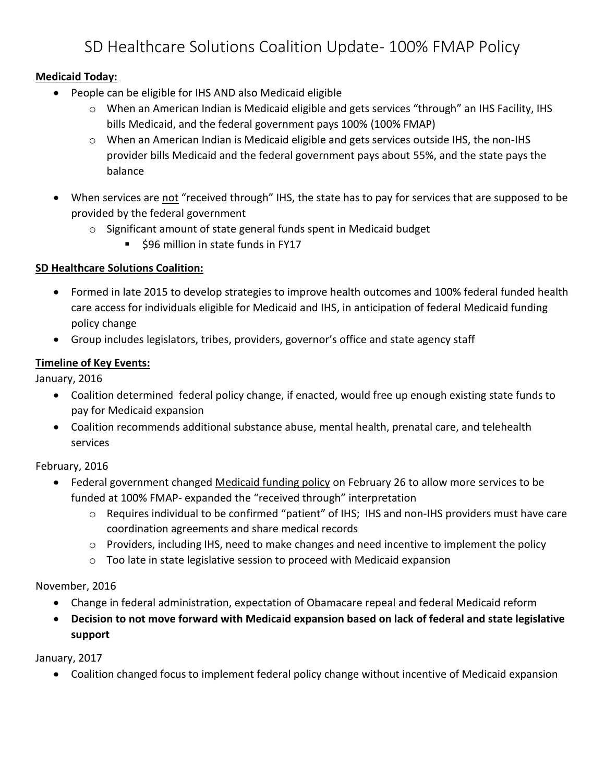# SD Healthcare Solutions Coalition Update- 100% FMAP Policy

## **Medicaid Today:**

- People can be eligible for IHS AND also Medicaid eligible
	- o When an American Indian is Medicaid eligible and gets services "through" an IHS Facility, IHS bills Medicaid, and the federal government pays 100% (100% FMAP)
	- o When an American Indian is Medicaid eligible and gets services outside IHS, the non-IHS provider bills Medicaid and the federal government pays about 55%, and the state pays the balance
- When services are not "received through" IHS, the state has to pay for services that are supposed to be provided by the federal government
	- o Significant amount of state general funds spent in Medicaid budget
		- \$96 million in state funds in FY17

# **SD Healthcare Solutions Coalition:**

- Formed in late 2015 to develop strategies to improve health outcomes and 100% federal funded health care access for individuals eligible for Medicaid and IHS, in anticipation of federal Medicaid funding policy change
- Group includes legislators, tribes, providers, governor's office and state agency staff

# **Timeline of Key Events:**

January, 2016

- Coalition determined federal policy change, if enacted, would free up enough existing state funds to pay for Medicaid expansion
- Coalition recommends additional substance abuse, mental health, prenatal care, and telehealth services

## February, 2016

- Federal government changed Medicaid funding policy on February 26 to allow more services to be funded at 100% FMAP- expanded the "received through" interpretation
	- o Requires individual to be confirmed "patient" of IHS; IHS and non-IHS providers must have care coordination agreements and share medical records
	- $\circ$  Providers, including IHS, need to make changes and need incentive to implement the policy
	- o Too late in state legislative session to proceed with Medicaid expansion

## November, 2016

- Change in federal administration, expectation of Obamacare repeal and federal Medicaid reform
- **Decision to not move forward with Medicaid expansion based on lack of federal and state legislative support**

January, 2017

Coalition changed focus to implement federal policy change without incentive of Medicaid expansion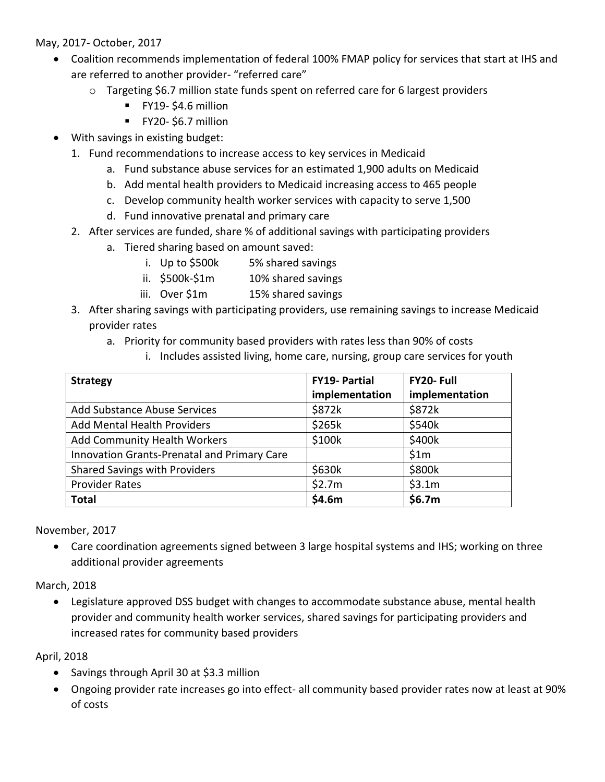May, 2017- October, 2017

- Coalition recommends implementation of federal 100% FMAP policy for services that start at IHS and are referred to another provider- "referred care"
	- $\circ$  Targeting \$6.7 million state funds spent on referred care for 6 largest providers
		- $\blacksquare$  FY19-\$4.6 million
		- **FY20- \$6.7 million**
- With savings in existing budget:
	- 1. Fund recommendations to increase access to key services in Medicaid
		- a. Fund substance abuse services for an estimated 1,900 adults on Medicaid
		- b. Add mental health providers to Medicaid increasing access to 465 people
		- c. Develop community health worker services with capacity to serve 1,500
		- d. Fund innovative prenatal and primary care
	- 2. After services are funded, share % of additional savings with participating providers
		- a. Tiered sharing based on amount saved:
			- i. Up to \$500k 5% shared savings
			- ii. \$500k-\$1m 10% shared savings
			- iii. Over \$1m 15% shared savings
	- 3. After sharing savings with participating providers, use remaining savings to increase Medicaid provider rates
		- a. Priority for community based providers with rates less than 90% of costs
			- i. Includes assisted living, home care, nursing, group care services for youth

| <b>Strategy</b>                             | <b>FY19- Partial</b> | FY20-Full      |
|---------------------------------------------|----------------------|----------------|
|                                             | implementation       | implementation |
| <b>Add Substance Abuse Services</b>         | \$872k               | \$872k         |
| <b>Add Mental Health Providers</b>          | \$265k               | \$540k         |
| Add Community Health Workers                | \$100k               | \$400k         |
| Innovation Grants-Prenatal and Primary Care |                      | \$1m           |
| <b>Shared Savings with Providers</b>        | \$630k               | \$800k         |
| <b>Provider Rates</b>                       | \$2.7m               | \$3.1m         |
| <b>Total</b>                                | \$4.6m               | \$6.7m         |

November, 2017

 Care coordination agreements signed between 3 large hospital systems and IHS; working on three additional provider agreements

March, 2018

 Legislature approved DSS budget with changes to accommodate substance abuse, mental health provider and community health worker services, shared savings for participating providers and increased rates for community based providers

April, 2018

- Savings through April 30 at \$3.3 million
- Ongoing provider rate increases go into effect- all community based provider rates now at least at 90% of costs